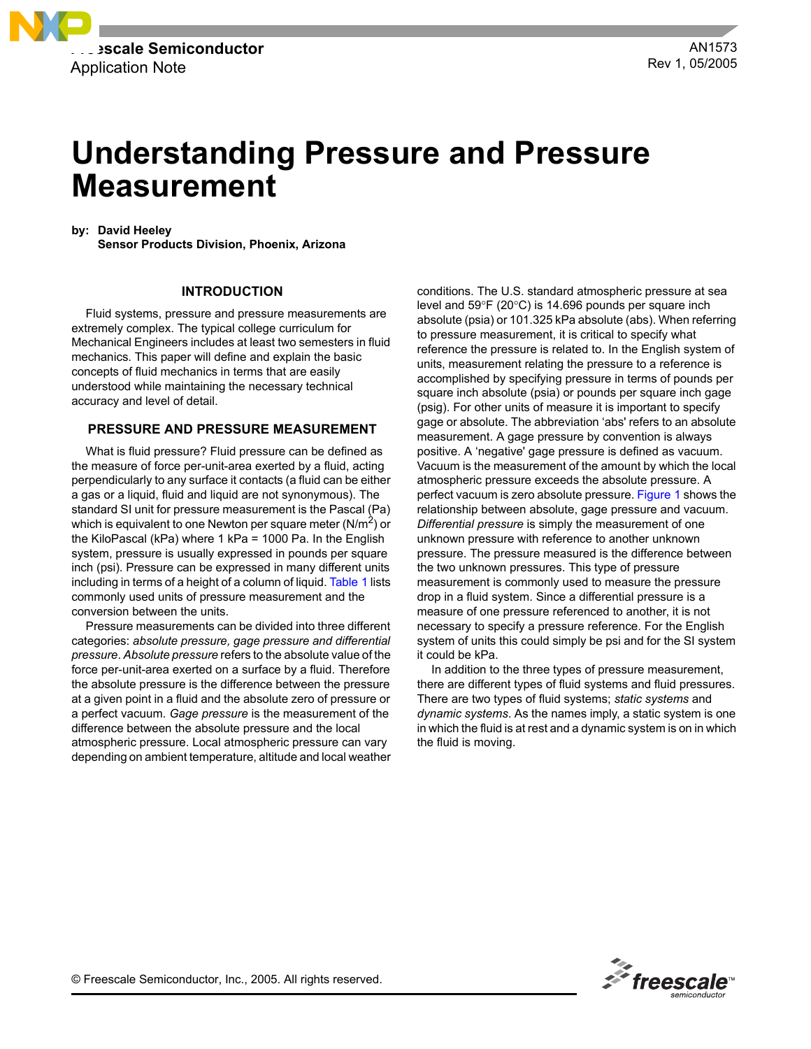

# **Understanding Pressure and Pressure Measurement**

**by: David Heeley**

**Sensor Products Division, Phoenix, Arizona**

#### **INTRODUCTION**

Fluid systems, pressure and pressure measurements are extremely complex. The typical college curriculum for Mechanical Engineers includes at least two semesters in fluid mechanics. This paper will define and explain the basic concepts of fluid mechanics in terms that are easily understood while maintaining the necessary technical accuracy and level of detail.

#### **PRESSURE AND PRESSURE MEASUREMENT**

What is fluid pressure? Fluid pressure can be defined as the measure of force per-unit-area exerted by a fluid, acting perpendicularly to any surface it contacts (a fluid can be either a gas or a liquid, fluid and liquid are not synonymous). The standard SI unit for pressure measurement is the Pascal (Pa) which is equivalent to one Newton per square meter  $(N/m^2)$  or the KiloPascal (kPa) where 1 kPa = 1000 Pa. In the English system, pressure is usually expressed in pounds per square inch (psi). Pressure can be expressed in many different units including in terms of a height of a column of liquid. [Table 1](#page-1-0) lists commonly used units of pressure measurement and the conversion between the units.

Pressure measurements can be divided into three different categories: *absolute pressure, gage pressure and differential pressure*. *Absolute pressure* refers to the absolute value of the force per-unit-area exerted on a surface by a fluid. Therefore the absolute pressure is the difference between the pressure at a given point in a fluid and the absolute zero of pressure or a perfect vacuum. *Gage pressure* is the measurement of the difference between the absolute pressure and the local atmospheric pressure. Local atmospheric pressure can vary depending on ambient temperature, altitude and local weather conditions. The U.S. standard atmospheric pressure at sea level and 59°F (20°C) is 14.696 pounds per square inch absolute (psia) or 101.325 kPa absolute (abs). When referring to pressure measurement, it is critical to specify what reference the pressure is related to. In the English system of units, measurement relating the pressure to a reference is accomplished by specifying pressure in terms of pounds per square inch absolute (psia) or pounds per square inch gage (psig). For other units of measure it is important to specify gage or absolute. The abbreviation 'abs' refers to an absolute measurement. A gage pressure by convention is always positive. A 'negative' gage pressure is defined as vacuum. Vacuum is the measurement of the amount by which the local atmospheric pressure exceeds the absolute pressure. A perfect vacuum is zero absolute pressure. [Figure 1](#page-1-1) shows the relationship between absolute, gage pressure and vacuum. *Differential pressure* is simply the measurement of one unknown pressure with reference to another unknown pressure. The pressure measured is the difference between the two unknown pressures. This type of pressure measurement is commonly used to measure the pressure drop in a fluid system. Since a differential pressure is a measure of one pressure referenced to another, it is not necessary to specify a pressure reference. For the English system of units this could simply be psi and for the SI system it could be kPa.

In addition to the three types of pressure measurement, there are different types of fluid systems and fluid pressures. There are two types of fluid systems; *static systems* and *dynamic systems*. As the names imply, a static system is one in which the fluid is at rest and a dynamic system is on in which the fluid is moving.

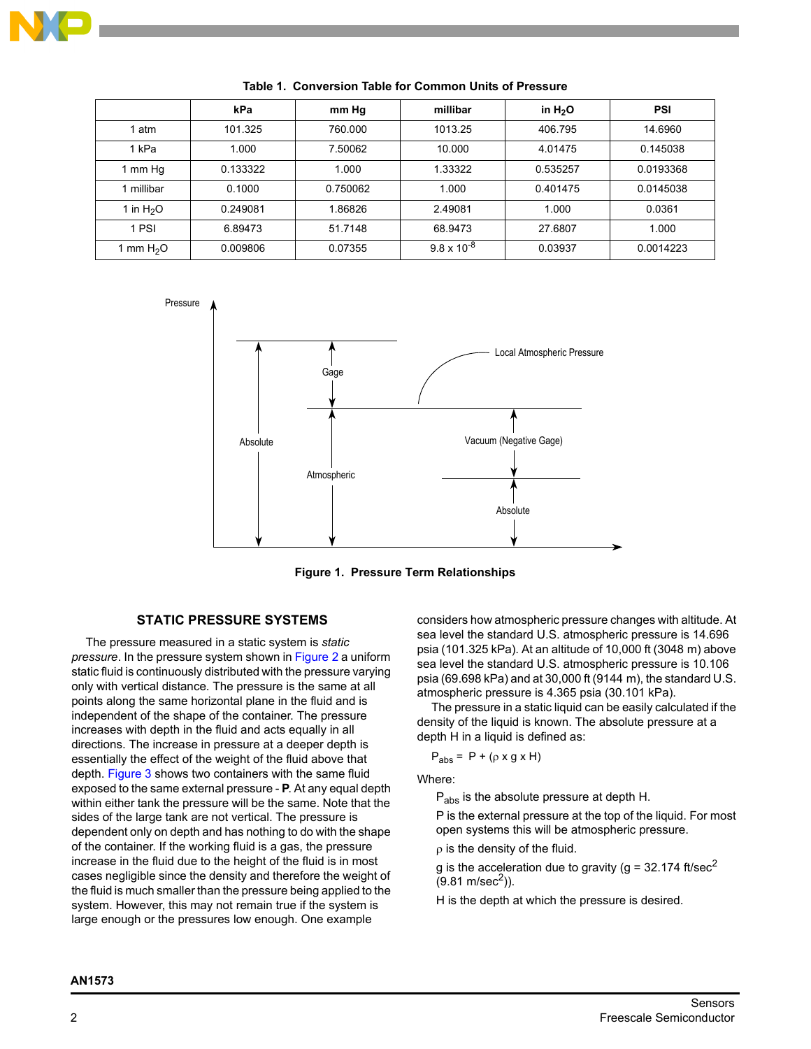

<span id="page-1-0"></span>

|             | kPa      | mm Hg    | millibar             | in $H_2O$ | <b>PSI</b> |
|-------------|----------|----------|----------------------|-----------|------------|
| 1 atm       | 101.325  | 760,000  | 1013.25              | 406.795   | 14.6960    |
| 1 kPa       | 1.000    | 7.50062  | 10.000               | 4.01475   | 0.145038   |
| 1 mm Hg     | 0.133322 | 1.000    | 1.33322              | 0.535257  | 0.0193368  |
| millibar    | 0.1000   | 0.750062 | 1.000                | 0.401475  | 0.0145038  |
| 1 in $H_2O$ | 0.249081 | 1.86826  | 2.49081              | 1.000     | 0.0361     |
| 1 PSI       | 6.89473  | 51.7148  | 68.9473              | 27.6807   | 1.000      |
| 1 mm $H2O$  | 0.009806 | 0.07355  | $9.8 \times 10^{-8}$ | 0.03937   | 0.0014223  |

**Table 1. Conversion Table for Common Units of Pressure**



**Figure 1. Pressure Term Relationships**

# **STATIC PRESSURE SYSTEMS**

<span id="page-1-1"></span>The pressure measured in a static system is *static pressure*. In the pressure system shown in [Figure 2](#page-2-0) a uniform static fluid is continuously distributed with the pressure varying only with vertical distance. The pressure is the same at all points along the same horizontal plane in the fluid and is independent of the shape of the container. The pressure increases with depth in the fluid and acts equally in all directions. The increase in pressure at a deeper depth is essentially the effect of the weight of the fluid above that depth. [Figure 3](#page-2-1) shows two containers with the same fluid exposed to the same external pressure - **P**. At any equal depth within either tank the pressure will be the same. Note that the sides of the large tank are not vertical. The pressure is dependent only on depth and has nothing to do with the shape of the container. If the working fluid is a gas, the pressure increase in the fluid due to the height of the fluid is in most cases negligible since the density and therefore the weight of the fluid is much smaller than the pressure being applied to the system. However, this may not remain true if the system is large enough or the pressures low enough. One example

considers how atmospheric pressure changes with altitude. At sea level the standard U.S. atmospheric pressure is 14.696 psia (101.325 kPa). At an altitude of 10,000 ft (3048 m) above sea level the standard U.S. atmospheric pressure is 10.106 psia (69.698 kPa) and at 30,000 ft (9144 m), the standard U.S. atmospheric pressure is 4.365 psia (30.101 kPa).

The pressure in a static liquid can be easily calculated if the density of the liquid is known. The absolute pressure at a depth H in a liquid is defined as:

$$
P_{\text{abs}} = P + (\rho \times g \times H)
$$

Where:

Pabs is the absolute pressure at depth H.

P is the external pressure at the top of the liquid. For most open systems this will be atmospheric pressure.

ρ is the density of the fluid.

g is the acceleration due to gravity ( $g = 32.174$  ft/sec<sup>2</sup>  $(9.81 \text{ m/sec}^2)$ ).

H is the depth at which the pressure is desired.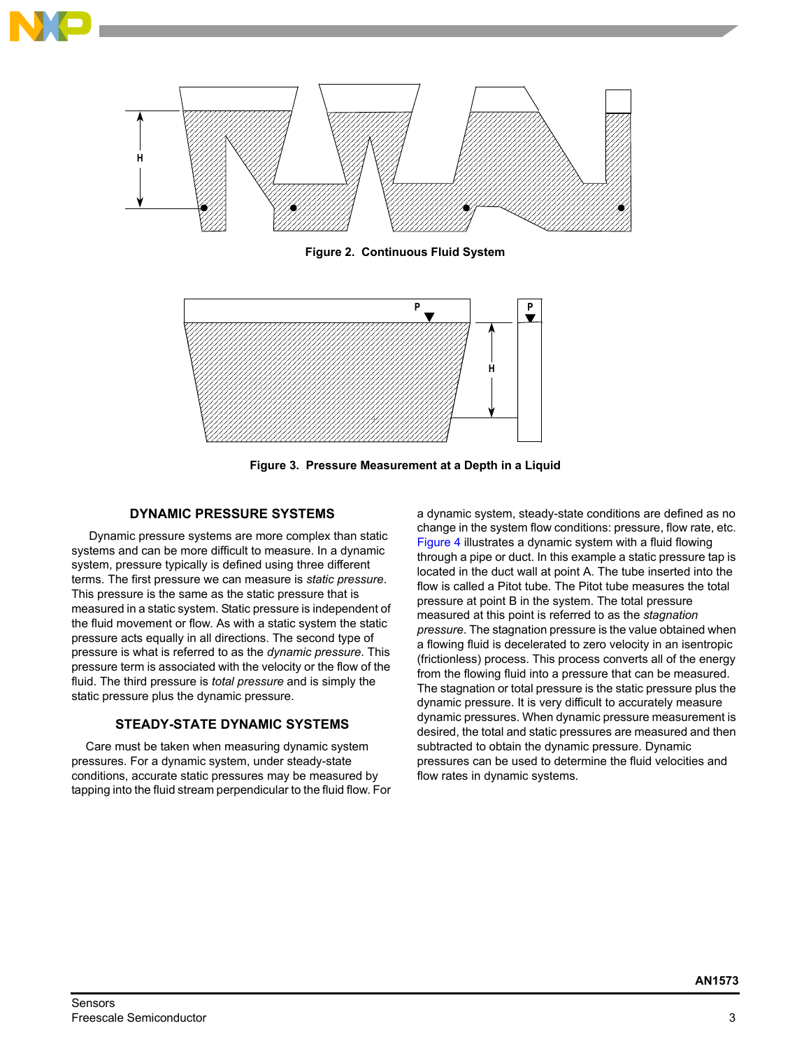

**Figure 2. Continuous Fluid System**

<span id="page-2-0"></span>

**Figure 3. Pressure Measurement at a Depth in a Liquid**

# **DYNAMIC PRESSURE SYSTEMS**

<span id="page-2-1"></span> Dynamic pressure systems are more complex than static systems and can be more difficult to measure. In a dynamic system, pressure typically is defined using three different terms. The first pressure we can measure is *static pressure*. This pressure is the same as the static pressure that is measured in a static system. Static pressure is independent of the fluid movement or flow. As with a static system the static pressure acts equally in all directions. The second type of pressure is what is referred to as the *dynamic pressure*. This pressure term is associated with the velocity or the flow of the fluid. The third pressure is *total pressure* and is simply the static pressure plus the dynamic pressure.

### **STEADY-STATE DYNAMIC SYSTEMS**

Care must be taken when measuring dynamic system pressures. For a dynamic system, under steady-state conditions, accurate static pressures may be measured by tapping into the fluid stream perpendicular to the fluid flow. For a dynamic system, steady-state conditions are defined as no change in the system flow conditions: pressure, flow rate, etc. [Figure 4](#page-3-0) illustrates a dynamic system with a fluid flowing through a pipe or duct. In this example a static pressure tap is located in the duct wall at point A. The tube inserted into the flow is called a Pitot tube. The Pitot tube measures the total pressure at point B in the system. The total pressure measured at this point is referred to as the *stagnation pressure*. The stagnation pressure is the value obtained when a flowing fluid is decelerated to zero velocity in an isentropic (frictionless) process. This process converts all of the energy from the flowing fluid into a pressure that can be measured. The stagnation or total pressure is the static pressure plus the dynamic pressure. It is very difficult to accurately measure dynamic pressures. When dynamic pressure measurement is desired, the total and static pressures are measured and then subtracted to obtain the dynamic pressure. Dynamic pressures can be used to determine the fluid velocities and flow rates in dynamic systems.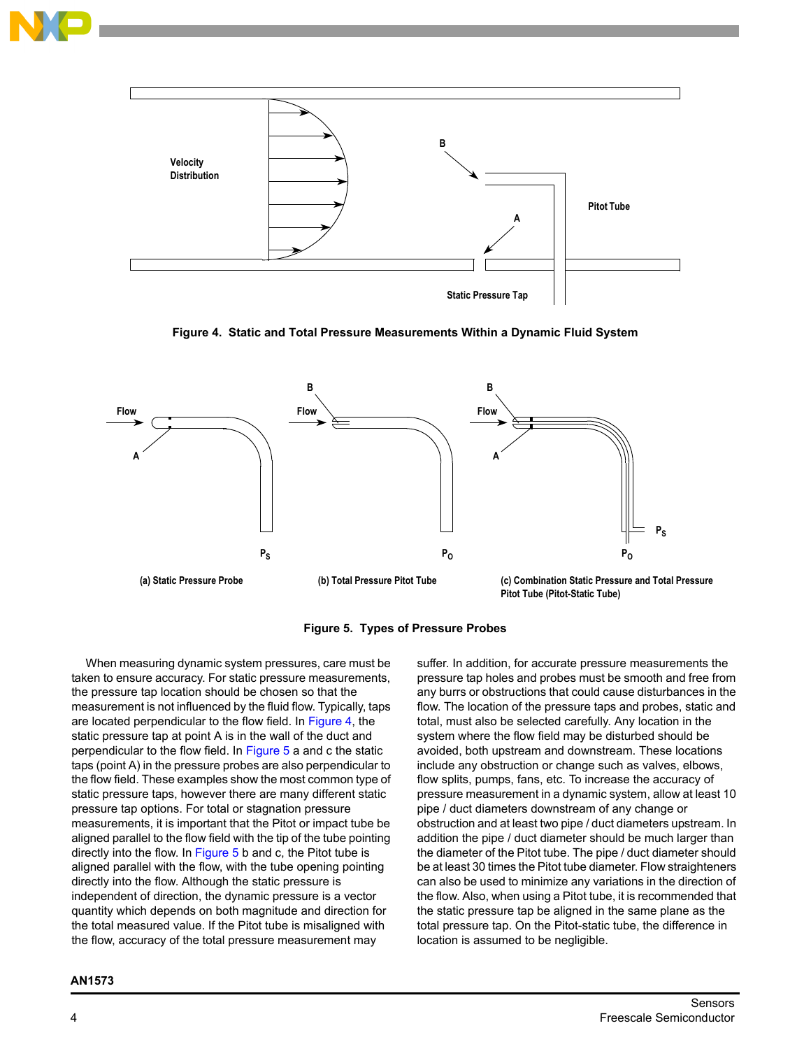



**Figure 4. Static and Total Pressure Measurements Within a Dynamic Fluid System**

<span id="page-3-0"></span>



<span id="page-3-1"></span>When measuring dynamic system pressures, care must be taken to ensure accuracy. For static pressure measurements, the pressure tap location should be chosen so that the measurement is not influenced by the fluid flow. Typically, taps are located perpendicular to the flow field. In [Figure 4,](#page-3-0) the static pressure tap at point A is in the wall of the duct and perpendicular to the flow field. In [Figure 5](#page-3-1) a and c the static taps (point A) in the pressure probes are also perpendicular to the flow field. These examples show the most common type of static pressure taps, however there are many different static pressure tap options. For total or stagnation pressure measurements, it is important that the Pitot or impact tube be aligned parallel to the flow field with the tip of the tube pointing directly into the flow. In [Figure 5](#page-3-1) b and c, the Pitot tube is aligned parallel with the flow, with the tube opening pointing directly into the flow. Although the static pressure is independent of direction, the dynamic pressure is a vector quantity which depends on both magnitude and direction for the total measured value. If the Pitot tube is misaligned with the flow, accuracy of the total pressure measurement may

suffer. In addition, for accurate pressure measurements the pressure tap holes and probes must be smooth and free from any burrs or obstructions that could cause disturbances in the flow. The location of the pressure taps and probes, static and total, must also be selected carefully. Any location in the system where the flow field may be disturbed should be avoided, both upstream and downstream. These locations include any obstruction or change such as valves, elbows, flow splits, pumps, fans, etc. To increase the accuracy of pressure measurement in a dynamic system, allow at least 10 pipe / duct diameters downstream of any change or obstruction and at least two pipe / duct diameters upstream. In addition the pipe / duct diameter should be much larger than the diameter of the Pitot tube. The pipe / duct diameter should be at least 30 times the Pitot tube diameter. Flow straighteners can also be used to minimize any variations in the direction of the flow. Also, when using a Pitot tube, it is recommended that the static pressure tap be aligned in the same plane as the total pressure tap. On the Pitot-static tube, the difference in location is assumed to be negligible.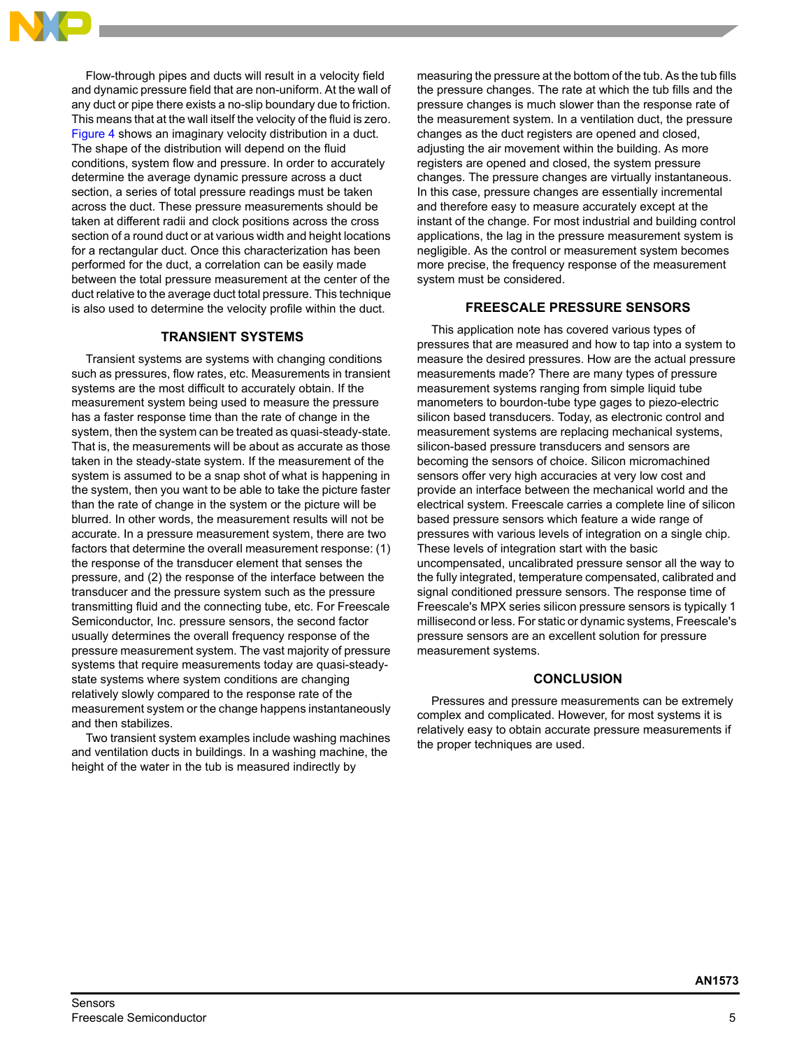

Flow-through pipes and ducts will result in a velocity field and dynamic pressure field that are non-uniform. At the wall of any duct or pipe there exists a no-slip boundary due to friction. This means that at the wall itself the velocity of the fluid is zero. [Figure 4](#page-3-0) shows an imaginary velocity distribution in a duct. The shape of the distribution will depend on the fluid conditions, system flow and pressure. In order to accurately determine the average dynamic pressure across a duct section, a series of total pressure readings must be taken across the duct. These pressure measurements should be taken at different radii and clock positions across the cross section of a round duct or at various width and height locations for a rectangular duct. Once this characterization has been performed for the duct, a correlation can be easily made between the total pressure measurement at the center of the duct relative to the average duct total pressure. This technique is also used to determine the velocity profile within the duct.

## **TRANSIENT SYSTEMS**

Transient systems are systems with changing conditions such as pressures, flow rates, etc. Measurements in transient systems are the most difficult to accurately obtain. If the measurement system being used to measure the pressure has a faster response time than the rate of change in the system, then the system can be treated as quasi-steady-state. That is, the measurements will be about as accurate as those taken in the steady-state system. If the measurement of the system is assumed to be a snap shot of what is happening in the system, then you want to be able to take the picture faster than the rate of change in the system or the picture will be blurred. In other words, the measurement results will not be accurate. In a pressure measurement system, there are two factors that determine the overall measurement response: (1) the response of the transducer element that senses the pressure, and (2) the response of the interface between the transducer and the pressure system such as the pressure transmitting fluid and the connecting tube, etc. For Freescale Semiconductor, Inc. pressure sensors, the second factor usually determines the overall frequency response of the pressure measurement system. The vast majority of pressure systems that require measurements today are quasi-steadystate systems where system conditions are changing relatively slowly compared to the response rate of the measurement system or the change happens instantaneously and then stabilizes.

Two transient system examples include washing machines and ventilation ducts in buildings. In a washing machine, the height of the water in the tub is measured indirectly by

measuring the pressure at the bottom of the tub. As the tub fills the pressure changes. The rate at which the tub fills and the pressure changes is much slower than the response rate of the measurement system. In a ventilation duct, the pressure changes as the duct registers are opened and closed, adjusting the air movement within the building. As more registers are opened and closed, the system pressure changes. The pressure changes are virtually instantaneous. In this case, pressure changes are essentially incremental and therefore easy to measure accurately except at the instant of the change. For most industrial and building control applications, the lag in the pressure measurement system is negligible. As the control or measurement system becomes more precise, the frequency response of the measurement system must be considered.

#### **FREESCALE PRESSURE SENSORS**

This application note has covered various types of pressures that are measured and how to tap into a system to measure the desired pressures. How are the actual pressure measurements made? There are many types of pressure measurement systems ranging from simple liquid tube manometers to bourdon-tube type gages to piezo-electric silicon based transducers. Today, as electronic control and measurement systems are replacing mechanical systems, silicon-based pressure transducers and sensors are becoming the sensors of choice. Silicon micromachined sensors offer very high accuracies at very low cost and provide an interface between the mechanical world and the electrical system. Freescale carries a complete line of silicon based pressure sensors which feature a wide range of pressures with various levels of integration on a single chip. These levels of integration start with the basic uncompensated, uncalibrated pressure sensor all the way to the fully integrated, temperature compensated, calibrated and signal conditioned pressure sensors. The response time of Freescale's MPX series silicon pressure sensors is typically 1 millisecond or less. For static or dynamic systems, Freescale's pressure sensors are an excellent solution for pressure measurement systems.

#### **CONCLUSION**

Pressures and pressure measurements can be extremely complex and complicated. However, for most systems it is relatively easy to obtain accurate pressure measurements if the proper techniques are used.